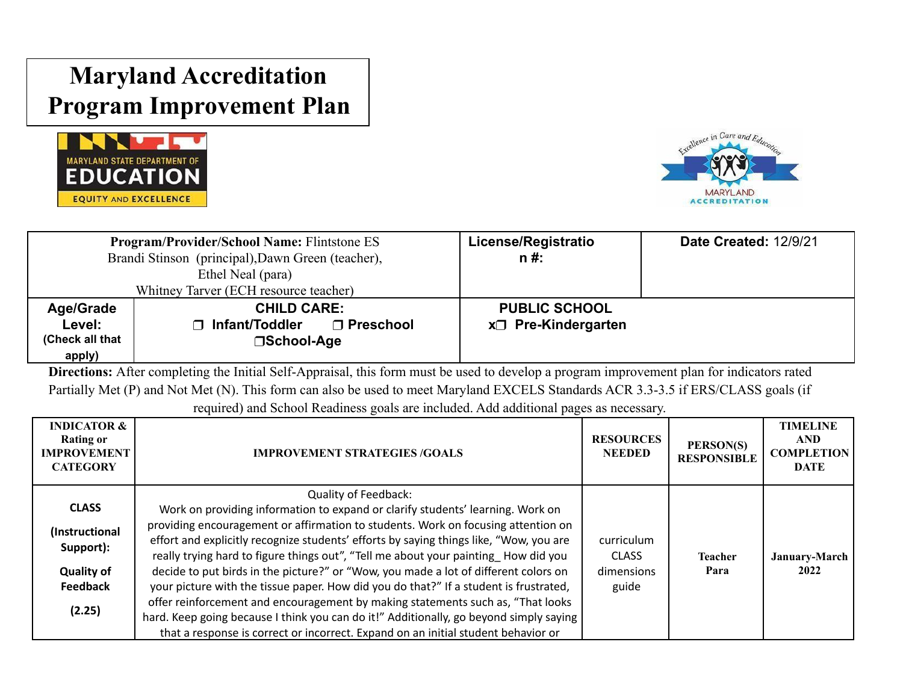## **Maryland Accreditation Program Improvement Plan**





| <b>Program/Provider/School Name: Flintstone ES</b> |                                        | License/Registratio       | <b>Date Created: 12/9/21</b> |
|----------------------------------------------------|----------------------------------------|---------------------------|------------------------------|
| Brandi Stinson (principal), Dawn Green (teacher),  |                                        | $n#$ :                    |                              |
|                                                    | Ethel Neal (para)                      |                           |                              |
|                                                    | Whitney Tarver (ECH resource teacher)  |                           |                              |
| <b>Age/Grade</b>                                   | <b>CHILD CARE:</b>                     | <b>PUBLIC SCHOOL</b>      |                              |
| Level:                                             | ∩ Infant/Toddler<br>$\sqcap$ Preschool | $x \Box$ Pre-Kindergarten |                              |
| (Check all that                                    | □School-Age                            |                           |                              |
| apply)                                             |                                        |                           |                              |

**Directions:** After completing the Initial Self-Appraisal, this form must be used to develop a program improvement plan for indicators rated Partially Met (P) and Not Met (N). This form can also be used to meet Maryland EXCELS Standards ACR 3.3-3.5 if ERS/CLASS goals (if

required) and School Readiness goals are included. Add additional pages as necessary.

| <b>INDICATOR &amp;</b><br><b>Rating or</b><br><b>IMPROVEMENT</b><br><b>CATEGORY</b> | <b>IMPROVEMENT STRATEGIES/GOALS</b>                                                                                                                                                                                                                               | <b>RESOURCES</b><br><b>NEEDED</b> | PERSON(S)<br><b>RESPONSIBLE</b> | <b>TIMELINE</b><br><b>AND</b><br><b>COMPLETION</b><br><b>DATE</b> |
|-------------------------------------------------------------------------------------|-------------------------------------------------------------------------------------------------------------------------------------------------------------------------------------------------------------------------------------------------------------------|-----------------------------------|---------------------------------|-------------------------------------------------------------------|
|                                                                                     | Quality of Feedback:                                                                                                                                                                                                                                              |                                   |                                 |                                                                   |
| <b>CLASS</b>                                                                        | Work on providing information to expand or clarify students' learning. Work on                                                                                                                                                                                    |                                   |                                 |                                                                   |
| (Instructional<br>Support):                                                         | providing encouragement or affirmation to students. Work on focusing attention on<br>effort and explicitly recognize students' efforts by saying things like, "Wow, you are<br>really trying hard to figure things out", "Tell me about your painting How did you | curriculum<br><b>CLASS</b>        | <b>Teacher</b>                  | January-March                                                     |
| <b>Quality of</b>                                                                   | decide to put birds in the picture?" or "Wow, you made a lot of different colors on                                                                                                                                                                               | dimensions                        | Para                            | 2022                                                              |
| <b>Feedback</b>                                                                     | your picture with the tissue paper. How did you do that?" If a student is frustrated,                                                                                                                                                                             | guide                             |                                 |                                                                   |
| (2.25)                                                                              | offer reinforcement and encouragement by making statements such as, "That looks<br>hard. Keep going because I think you can do it!" Additionally, go beyond simply saying<br>that a response is correct or incorrect. Expand on an initial student behavior or    |                                   |                                 |                                                                   |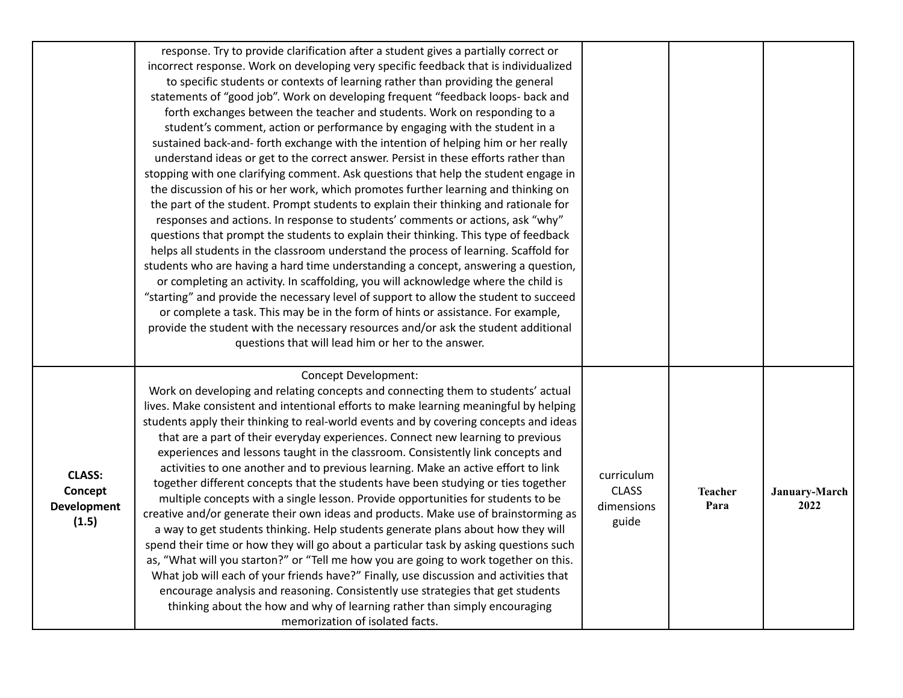|                                                         | response. Try to provide clarification after a student gives a partially correct or<br>incorrect response. Work on developing very specific feedback that is individualized<br>to specific students or contexts of learning rather than providing the general<br>statements of "good job". Work on developing frequent "feedback loops- back and<br>forth exchanges between the teacher and students. Work on responding to a<br>student's comment, action or performance by engaging with the student in a<br>sustained back-and- forth exchange with the intention of helping him or her really<br>understand ideas or get to the correct answer. Persist in these efforts rather than<br>stopping with one clarifying comment. Ask questions that help the student engage in<br>the discussion of his or her work, which promotes further learning and thinking on<br>the part of the student. Prompt students to explain their thinking and rationale for<br>responses and actions. In response to students' comments or actions, ask "why"<br>questions that prompt the students to explain their thinking. This type of feedback<br>helps all students in the classroom understand the process of learning. Scaffold for<br>students who are having a hard time understanding a concept, answering a question,<br>or completing an activity. In scaffolding, you will acknowledge where the child is<br>"starting" and provide the necessary level of support to allow the student to succeed<br>or complete a task. This may be in the form of hints or assistance. For example,<br>provide the student with the necessary resources and/or ask the student additional<br>questions that will lead him or her to the answer. |                                                   |                        |                       |
|---------------------------------------------------------|-------------------------------------------------------------------------------------------------------------------------------------------------------------------------------------------------------------------------------------------------------------------------------------------------------------------------------------------------------------------------------------------------------------------------------------------------------------------------------------------------------------------------------------------------------------------------------------------------------------------------------------------------------------------------------------------------------------------------------------------------------------------------------------------------------------------------------------------------------------------------------------------------------------------------------------------------------------------------------------------------------------------------------------------------------------------------------------------------------------------------------------------------------------------------------------------------------------------------------------------------------------------------------------------------------------------------------------------------------------------------------------------------------------------------------------------------------------------------------------------------------------------------------------------------------------------------------------------------------------------------------------------------------------------------------------------------------------------------------------|---------------------------------------------------|------------------------|-----------------------|
| <b>CLASS:</b><br>Concept<br><b>Development</b><br>(1.5) | <b>Concept Development:</b><br>Work on developing and relating concepts and connecting them to students' actual<br>lives. Make consistent and intentional efforts to make learning meaningful by helping<br>students apply their thinking to real-world events and by covering concepts and ideas<br>that are a part of their everyday experiences. Connect new learning to previous<br>experiences and lessons taught in the classroom. Consistently link concepts and<br>activities to one another and to previous learning. Make an active effort to link<br>together different concepts that the students have been studying or ties together<br>multiple concepts with a single lesson. Provide opportunities for students to be<br>creative and/or generate their own ideas and products. Make use of brainstorming as<br>a way to get students thinking. Help students generate plans about how they will<br>spend their time or how they will go about a particular task by asking questions such<br>as, "What will you starton?" or "Tell me how you are going to work together on this.<br>What job will each of your friends have?" Finally, use discussion and activities that<br>encourage analysis and reasoning. Consistently use strategies that get students<br>thinking about the how and why of learning rather than simply encouraging<br>memorization of isolated facts.                                                                                                                                                                                                                                                                                                                                       | curriculum<br><b>CLASS</b><br>dimensions<br>guide | <b>Teacher</b><br>Para | January-March<br>2022 |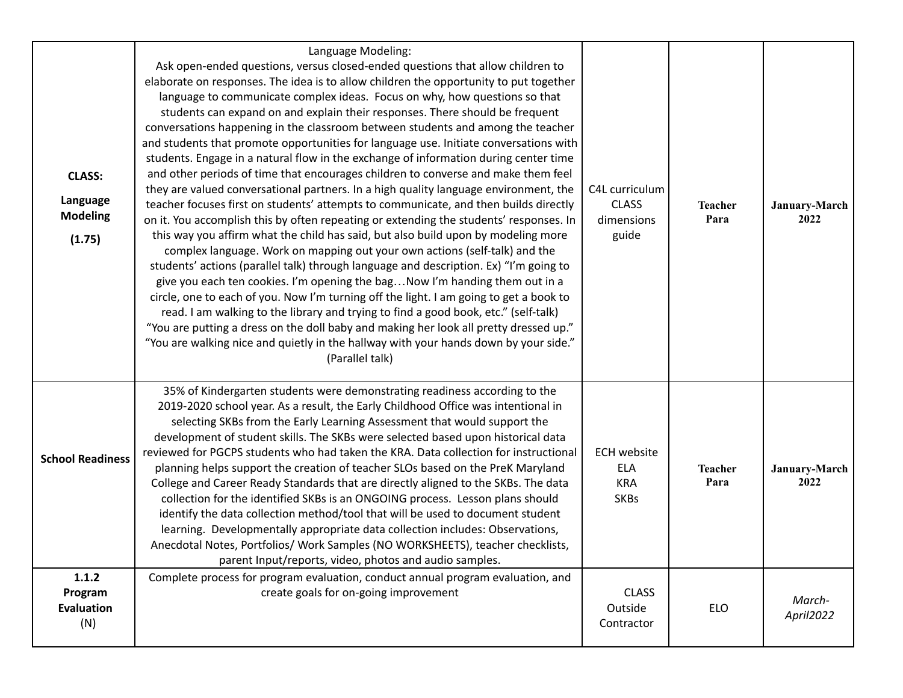| <b>CLASS:</b><br>Language<br><b>Modeling</b><br>(1.75) | Language Modeling:<br>Ask open-ended questions, versus closed-ended questions that allow children to<br>elaborate on responses. The idea is to allow children the opportunity to put together<br>language to communicate complex ideas. Focus on why, how questions so that<br>students can expand on and explain their responses. There should be frequent<br>conversations happening in the classroom between students and among the teacher<br>and students that promote opportunities for language use. Initiate conversations with<br>students. Engage in a natural flow in the exchange of information during center time<br>and other periods of time that encourages children to converse and make them feel<br>they are valued conversational partners. In a high quality language environment, the<br>teacher focuses first on students' attempts to communicate, and then builds directly<br>on it. You accomplish this by often repeating or extending the students' responses. In<br>this way you affirm what the child has said, but also build upon by modeling more<br>complex language. Work on mapping out your own actions (self-talk) and the<br>students' actions (parallel talk) through language and description. Ex) "I'm going to<br>give you each ten cookies. I'm opening the bag Now I'm handing them out in a<br>circle, one to each of you. Now I'm turning off the light. I am going to get a book to<br>read. I am walking to the library and trying to find a good book, etc." (self-talk)<br>"You are putting a dress on the doll baby and making her look all pretty dressed up."<br>"You are walking nice and quietly in the hallway with your hands down by your side."<br>(Parallel talk) | C4L curriculum<br><b>CLASS</b><br>dimensions<br>guide         | <b>Teacher</b><br>Para | January-March<br>2022 |
|--------------------------------------------------------|---------------------------------------------------------------------------------------------------------------------------------------------------------------------------------------------------------------------------------------------------------------------------------------------------------------------------------------------------------------------------------------------------------------------------------------------------------------------------------------------------------------------------------------------------------------------------------------------------------------------------------------------------------------------------------------------------------------------------------------------------------------------------------------------------------------------------------------------------------------------------------------------------------------------------------------------------------------------------------------------------------------------------------------------------------------------------------------------------------------------------------------------------------------------------------------------------------------------------------------------------------------------------------------------------------------------------------------------------------------------------------------------------------------------------------------------------------------------------------------------------------------------------------------------------------------------------------------------------------------------------------------------------------------------------------------------------------------------------------|---------------------------------------------------------------|------------------------|-----------------------|
| <b>School Readiness</b>                                | 35% of Kindergarten students were demonstrating readiness according to the<br>2019-2020 school year. As a result, the Early Childhood Office was intentional in<br>selecting SKBs from the Early Learning Assessment that would support the<br>development of student skills. The SKBs were selected based upon historical data<br>reviewed for PGCPS students who had taken the KRA. Data collection for instructional<br>planning helps support the creation of teacher SLOs based on the PreK Maryland<br>College and Career Ready Standards that are directly aligned to the SKBs. The data<br>collection for the identified SKBs is an ONGOING process. Lesson plans should<br>identify the data collection method/tool that will be used to document student<br>learning. Developmentally appropriate data collection includes: Observations,<br>Anecdotal Notes, Portfolios/ Work Samples (NO WORKSHEETS), teacher checklists,<br>parent Input/reports, video, photos and audio samples.                                                                                                                                                                                                                                                                                                                                                                                                                                                                                                                                                                                                                                                                                                                                 | <b>ECH website</b><br><b>ELA</b><br><b>KRA</b><br><b>SKBs</b> | <b>Teacher</b><br>Para | January-March<br>2022 |
| 1.1.2<br>Program<br><b>Evaluation</b><br>(N)           | Complete process for program evaluation, conduct annual program evaluation, and<br>create goals for on-going improvement                                                                                                                                                                                                                                                                                                                                                                                                                                                                                                                                                                                                                                                                                                                                                                                                                                                                                                                                                                                                                                                                                                                                                                                                                                                                                                                                                                                                                                                                                                                                                                                                        | <b>CLASS</b><br>Outside<br>Contractor                         | ELO                    | March-<br>April2022   |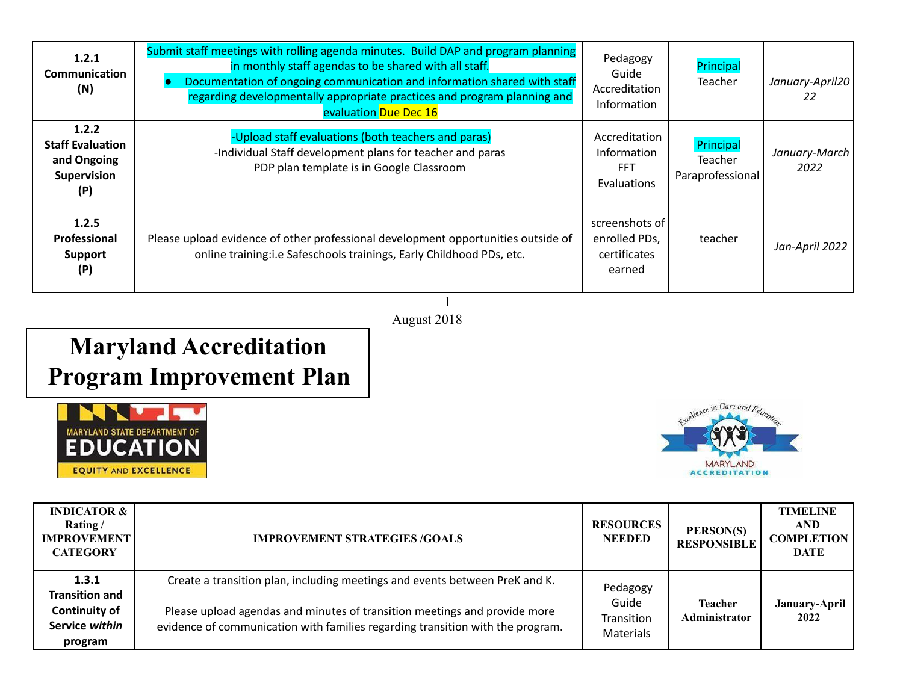| 1.2.1<br><b>Communication</b><br>(N)                                  | Submit staff meetings with rolling agenda minutes. Build DAP and program planning<br>in monthly staff agendas to be shared with all staff.<br>Documentation of ongoing communication and information shared with staff<br>regarding developmentally appropriate practices and program planning and<br>evaluation Due Dec 16 | Pedagogy<br>Guide<br>Accreditation<br>Information                | Principal<br><b>Teacher</b>                     | January-April20<br>22 |
|-----------------------------------------------------------------------|-----------------------------------------------------------------------------------------------------------------------------------------------------------------------------------------------------------------------------------------------------------------------------------------------------------------------------|------------------------------------------------------------------|-------------------------------------------------|-----------------------|
| 1.2.2<br><b>Staff Evaluation</b><br>and Ongoing<br>Supervision<br>(P) | -Upload staff evaluations (both teachers and paras)<br>-Individual Staff development plans for teacher and paras<br>PDP plan template is in Google Classroom                                                                                                                                                                | Accreditation<br><b>Information</b><br><b>FFT</b><br>Evaluations | Principal<br><b>Teacher</b><br>Paraprofessional | January-March<br>2022 |
| 1.2.5<br>Professional<br><b>Support</b><br>(P)                        | Please upload evidence of other professional development opportunities outside of<br>online training:i.e Safeschools trainings, Early Childhood PDs, etc.                                                                                                                                                                   | screenshots of<br>enrolled PDs,<br>certificates<br>earned        | teacher                                         | Jan-April 2022        |

1 August 2018

## **Maryland Accreditation Program Improvement Plan**





| <b>INDICATOR &amp;</b><br>Rating/<br><b>IMPROVEMENT</b><br><b>CATEGORY</b>          | <b>IMPROVEMENT STRATEGIES /GOALS</b>                                                                                                                                                                                                       | <b>RESOURCES</b><br><b>NEEDED</b>                   | PERSON(S)<br><b>RESPONSIBLE</b>        | <b>TIMELINE</b><br><b>AND</b><br><b>COMPLETION</b><br><b>DATE</b> |
|-------------------------------------------------------------------------------------|--------------------------------------------------------------------------------------------------------------------------------------------------------------------------------------------------------------------------------------------|-----------------------------------------------------|----------------------------------------|-------------------------------------------------------------------|
| 1.3.1<br><b>Transition and</b><br><b>Continuity of</b><br>Service within<br>program | Create a transition plan, including meetings and events between PreK and K.<br>Please upload agendas and minutes of transition meetings and provide more<br>evidence of communication with families regarding transition with the program. | Pedagogy<br>Guide<br>Transition<br><b>Materials</b> | <b>Teacher</b><br><b>Administrator</b> | January-April<br>2022                                             |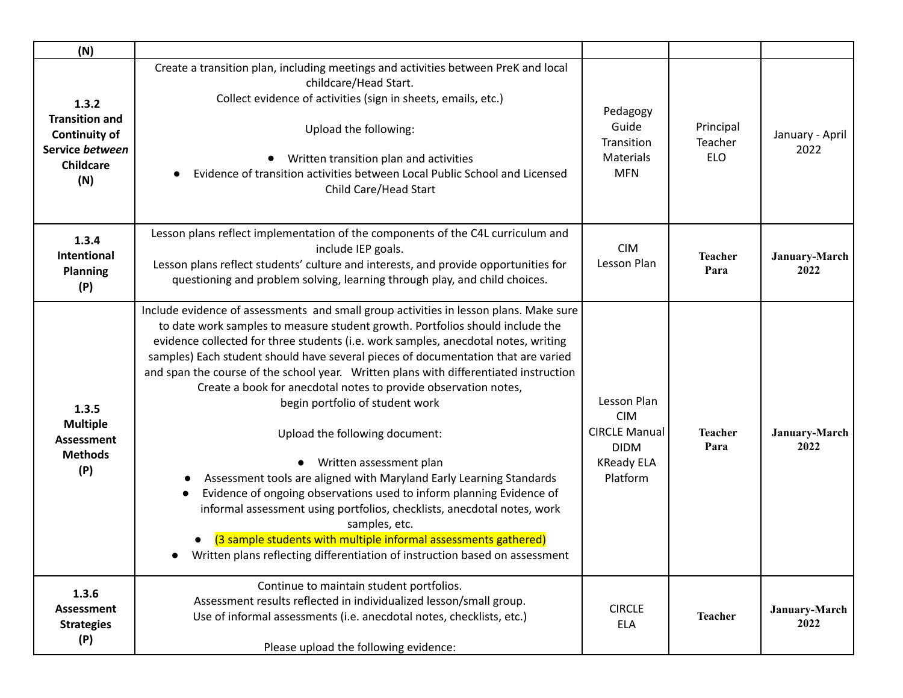| (N)                                                                                                  |                                                                                                                                                                                                                                                                                                                                                                                                                                                                                                                                                                                                                                                                                                                                                                                                                                                                                                                                                                                                            |                                                                                                   |                                    |                         |
|------------------------------------------------------------------------------------------------------|------------------------------------------------------------------------------------------------------------------------------------------------------------------------------------------------------------------------------------------------------------------------------------------------------------------------------------------------------------------------------------------------------------------------------------------------------------------------------------------------------------------------------------------------------------------------------------------------------------------------------------------------------------------------------------------------------------------------------------------------------------------------------------------------------------------------------------------------------------------------------------------------------------------------------------------------------------------------------------------------------------|---------------------------------------------------------------------------------------------------|------------------------------------|-------------------------|
| 1.3.2<br><b>Transition and</b><br><b>Continuity of</b><br>Service between<br><b>Childcare</b><br>(N) | Create a transition plan, including meetings and activities between PreK and local<br>childcare/Head Start.<br>Collect evidence of activities (sign in sheets, emails, etc.)<br>Upload the following:<br>Written transition plan and activities<br>Evidence of transition activities between Local Public School and Licensed<br>Child Care/Head Start                                                                                                                                                                                                                                                                                                                                                                                                                                                                                                                                                                                                                                                     | Pedagogy<br>Guide<br>Transition<br><b>Materials</b><br><b>MFN</b>                                 | Principal<br>Teacher<br><b>ELO</b> | January - April<br>2022 |
| 1.3.4<br><b>Intentional</b><br><b>Planning</b><br>(P)                                                | Lesson plans reflect implementation of the components of the C4L curriculum and<br>include IEP goals.<br>Lesson plans reflect students' culture and interests, and provide opportunities for<br>questioning and problem solving, learning through play, and child choices.                                                                                                                                                                                                                                                                                                                                                                                                                                                                                                                                                                                                                                                                                                                                 | <b>CIM</b><br>Lesson Plan                                                                         | <b>Teacher</b><br>Para             | January-March<br>2022   |
| 1.3.5<br><b>Multiple</b><br><b>Assessment</b><br><b>Methods</b><br>(P)                               | Include evidence of assessments and small group activities in lesson plans. Make sure<br>to date work samples to measure student growth. Portfolios should include the<br>evidence collected for three students (i.e. work samples, anecdotal notes, writing<br>samples) Each student should have several pieces of documentation that are varied<br>and span the course of the school year. Written plans with differentiated instruction<br>Create a book for anecdotal notes to provide observation notes,<br>begin portfolio of student work<br>Upload the following document:<br>Written assessment plan<br>Assessment tools are aligned with Maryland Early Learning Standards<br>Evidence of ongoing observations used to inform planning Evidence of<br>informal assessment using portfolios, checklists, anecdotal notes, work<br>samples, etc.<br>(3 sample students with multiple informal assessments gathered)<br>Written plans reflecting differentiation of instruction based on assessment | Lesson Plan<br><b>CIM</b><br><b>CIRCLE Manual</b><br><b>DIDM</b><br><b>KReady ELA</b><br>Platform | <b>Teacher</b><br>Para             | January-March<br>2022   |
| 1.3.6<br>Assessment<br><b>Strategies</b><br>(P)                                                      | Continue to maintain student portfolios.<br>Assessment results reflected in individualized lesson/small group.<br>Use of informal assessments (i.e. anecdotal notes, checklists, etc.)<br>Please upload the following evidence:                                                                                                                                                                                                                                                                                                                                                                                                                                                                                                                                                                                                                                                                                                                                                                            | <b>CIRCLE</b><br><b>ELA</b>                                                                       | <b>Teacher</b>                     | January-March<br>2022   |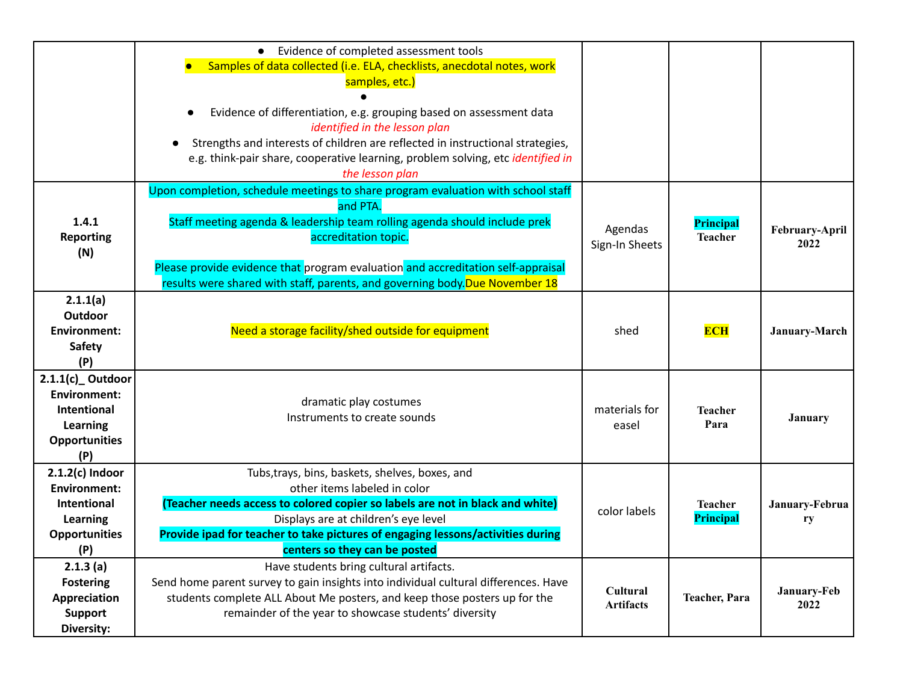|                                                                                                     | • Evidence of completed assessment tools<br>Samples of data collected (i.e. ELA, checklists, anecdotal notes, work<br>samples, etc.)<br>Evidence of differentiation, e.g. grouping based on assessment data<br>$\bullet$<br>identified in the lesson plan<br>Strengths and interests of children are reflected in instructional strategies,<br>e.g. think-pair share, cooperative learning, problem solving, etc identified in<br>the lesson plan |                              |                             |                        |
|-----------------------------------------------------------------------------------------------------|---------------------------------------------------------------------------------------------------------------------------------------------------------------------------------------------------------------------------------------------------------------------------------------------------------------------------------------------------------------------------------------------------------------------------------------------------|------------------------------|-----------------------------|------------------------|
| 1.4.1<br><b>Reporting</b><br>(N)                                                                    | Upon completion, schedule meetings to share program evaluation with school staff<br>and PTA.<br>Staff meeting agenda & leadership team rolling agenda should include prek<br>accreditation topic.<br>Please provide evidence that program evaluation and accreditation self-appraisal<br>results were shared with staff, parents, and governing body. Due November 18                                                                             | Agendas<br>Sign-In Sheets    | Principal<br><b>Teacher</b> | February-April<br>2022 |
| 2.1.1(a)<br>Outdoor<br><b>Environment:</b><br>Safety<br>(P)                                         | Need a storage facility/shed outside for equipment                                                                                                                                                                                                                                                                                                                                                                                                | shed                         | <b>ECH</b>                  | January-March          |
| $2.1.1(c)$ Outdoor<br><b>Environment:</b><br>Intentional<br>Learning<br><b>Opportunities</b><br>(P) | dramatic play costumes<br>Instruments to create sounds                                                                                                                                                                                                                                                                                                                                                                                            | materials for<br>easel       | <b>Teacher</b><br>Para      | <b>January</b>         |
| $2.1.2(c)$ Indoor<br><b>Environment:</b><br>Intentional<br>Learning<br><b>Opportunities</b><br>(P)  | Tubs, trays, bins, baskets, shelves, boxes, and<br>other items labeled in color<br>(Teacher needs access to colored copier so labels are not in black and white)<br>Displays are at children's eye level<br>Provide ipad for teacher to take pictures of engaging lessons/activities during<br>centers so they can be posted                                                                                                                      | color labels                 | <b>Teacher</b><br>Principal | January-Februa<br>ry   |
| 2.1.3(a)<br><b>Fostering</b><br>Appreciation<br><b>Support</b><br>Diversity:                        | Have students bring cultural artifacts.<br>Send home parent survey to gain insights into individual cultural differences. Have<br>students complete ALL About Me posters, and keep those posters up for the<br>remainder of the year to showcase students' diversity                                                                                                                                                                              | Cultural<br><b>Artifacts</b> | <b>Teacher</b> , Para       | January-Feb<br>2022    |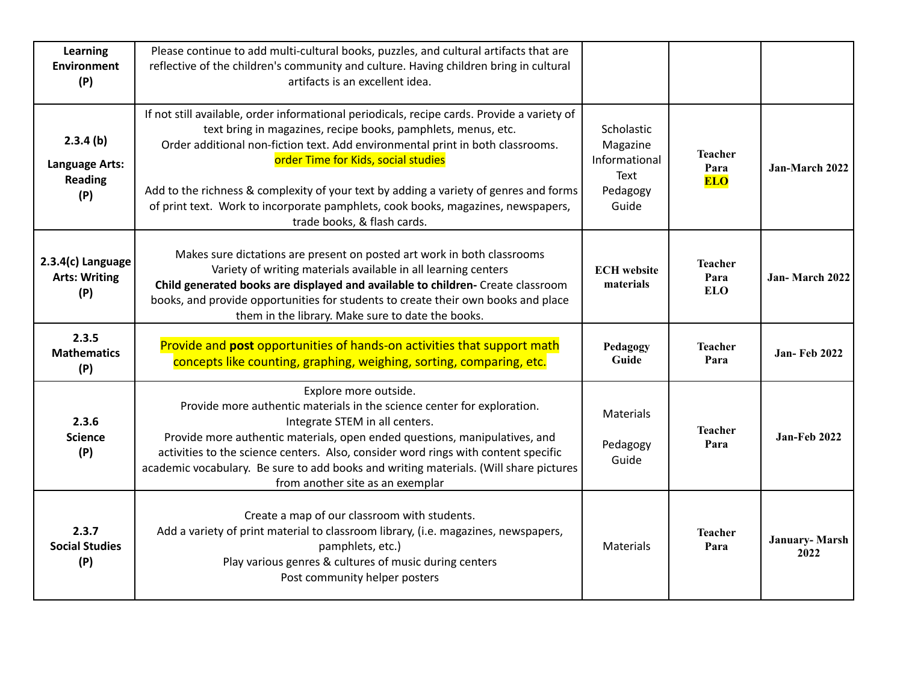| Learning<br><b>Environment</b><br>(P)                      | Please continue to add multi-cultural books, puzzles, and cultural artifacts that are<br>reflective of the children's community and culture. Having children bring in cultural<br>artifacts is an excellent idea.                                                                                                                                                                                                                                                                                 |                                                                      |                                      |                              |
|------------------------------------------------------------|---------------------------------------------------------------------------------------------------------------------------------------------------------------------------------------------------------------------------------------------------------------------------------------------------------------------------------------------------------------------------------------------------------------------------------------------------------------------------------------------------|----------------------------------------------------------------------|--------------------------------------|------------------------------|
| 2.3.4(b)<br><b>Language Arts:</b><br><b>Reading</b><br>(P) | If not still available, order informational periodicals, recipe cards. Provide a variety of<br>text bring in magazines, recipe books, pamphlets, menus, etc.<br>Order additional non-fiction text. Add environmental print in both classrooms.<br>order Time for Kids, social studies<br>Add to the richness & complexity of your text by adding a variety of genres and forms<br>of print text. Work to incorporate pamphlets, cook books, magazines, newspapers,<br>trade books, & flash cards. | Scholastic<br>Magazine<br>Informational<br>Text<br>Pedagogy<br>Guide | <b>Teacher</b><br>Para<br><b>ELO</b> | Jan-March 2022               |
| 2.3.4(c) Language<br><b>Arts: Writing</b><br>(P)           | Makes sure dictations are present on posted art work in both classrooms<br>Variety of writing materials available in all learning centers<br>Child generated books are displayed and available to children- Create classroom<br>books, and provide opportunities for students to create their own books and place<br>them in the library. Make sure to date the books.                                                                                                                            | <b>ECH</b> website<br>materials                                      | <b>Teacher</b><br>Para<br><b>ELO</b> | Jan-March 2022               |
| 2.3.5<br><b>Mathematics</b><br>(P)                         | Provide and post opportunities of hands-on activities that support math<br>concepts like counting, graphing, weighing, sorting, comparing, etc.                                                                                                                                                                                                                                                                                                                                                   | Pedagogy<br>Guide                                                    | <b>Teacher</b><br>Para               | <b>Jan-Feb 2022</b>          |
| 2.3.6<br><b>Science</b><br>(P)                             | Explore more outside.<br>Provide more authentic materials in the science center for exploration.<br>Integrate STEM in all centers.<br>Provide more authentic materials, open ended questions, manipulatives, and<br>activities to the science centers. Also, consider word rings with content specific<br>academic vocabulary. Be sure to add books and writing materials. (Will share pictures<br>from another site as an exemplar                                                               | <b>Materials</b><br>Pedagogy<br>Guide                                | <b>Teacher</b><br>Para               | Jan-Feb 2022                 |
| 2.3.7<br><b>Social Studies</b><br>(P)                      | Create a map of our classroom with students.<br>Add a variety of print material to classroom library, (i.e. magazines, newspapers,<br>pamphlets, etc.)<br>Play various genres & cultures of music during centers<br>Post community helper posters                                                                                                                                                                                                                                                 | <b>Materials</b>                                                     | <b>Teacher</b><br>Para               | <b>January-Marsh</b><br>2022 |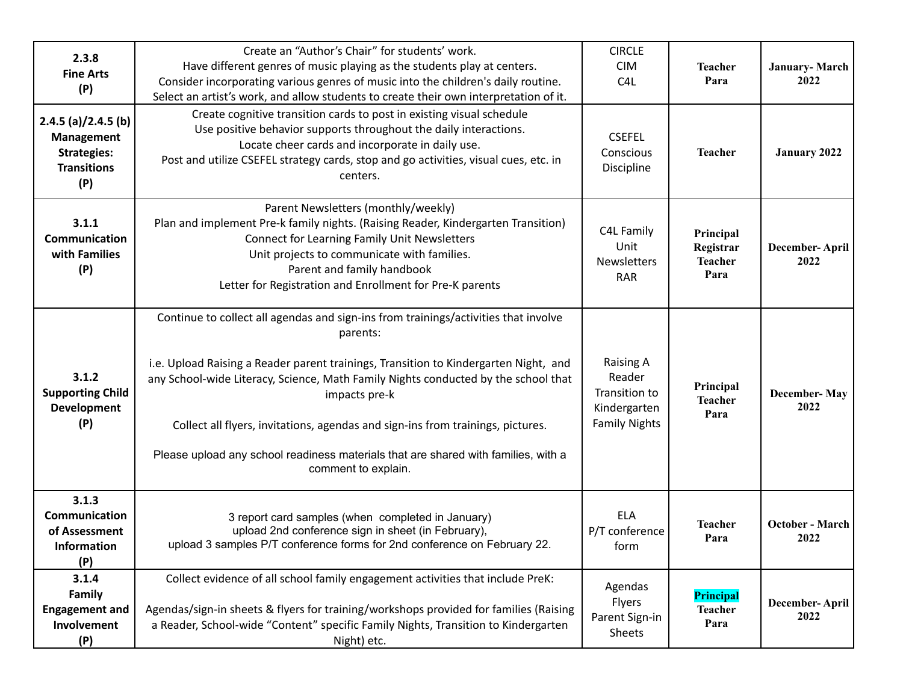| 2.3.8<br><b>Fine Arts</b><br>(P)                                                              | Create an "Author's Chair" for students' work.<br>Have different genres of music playing as the students play at centers.<br>Consider incorporating various genres of music into the children's daily routine.<br>Select an artist's work, and allow students to create their own interpretation of it.                                                                                                                                                                                        | <b>CIRCLE</b><br><b>CIM</b><br>C <sub>4</sub> L                                     | <b>Teacher</b><br>Para                           | <b>January-March</b><br>2022 |
|-----------------------------------------------------------------------------------------------|------------------------------------------------------------------------------------------------------------------------------------------------------------------------------------------------------------------------------------------------------------------------------------------------------------------------------------------------------------------------------------------------------------------------------------------------------------------------------------------------|-------------------------------------------------------------------------------------|--------------------------------------------------|------------------------------|
| $2.4.5$ (a)/2.4.5 (b)<br><b>Management</b><br><b>Strategies:</b><br><b>Transitions</b><br>(P) | Create cognitive transition cards to post in existing visual schedule<br>Use positive behavior supports throughout the daily interactions.<br>Locate cheer cards and incorporate in daily use.<br>Post and utilize CSEFEL strategy cards, stop and go activities, visual cues, etc. in<br>centers.                                                                                                                                                                                             | <b>CSEFEL</b><br>Conscious<br>Discipline                                            | <b>Teacher</b>                                   | January 2022                 |
| 3.1.1<br>Communication<br>with Families<br>(P)                                                | Parent Newsletters (monthly/weekly)<br>Plan and implement Pre-k family nights. (Raising Reader, Kindergarten Transition)<br><b>Connect for Learning Family Unit Newsletters</b><br>Unit projects to communicate with families.<br>Parent and family handbook<br>Letter for Registration and Enrollment for Pre-K parents                                                                                                                                                                       | C4L Family<br>Unit<br><b>Newsletters</b><br><b>RAR</b>                              | Principal<br>Registrar<br><b>Teacher</b><br>Para | December-April<br>2022       |
| 3.1.2<br><b>Supporting Child</b><br><b>Development</b><br>(P)                                 | Continue to collect all agendas and sign-ins from trainings/activities that involve<br>parents:<br>i.e. Upload Raising a Reader parent trainings, Transition to Kindergarten Night, and<br>any School-wide Literacy, Science, Math Family Nights conducted by the school that<br>impacts pre-k<br>Collect all flyers, invitations, agendas and sign-ins from trainings, pictures.<br>Please upload any school readiness materials that are shared with families, with a<br>comment to explain. | <b>Raising A</b><br>Reader<br>Transition to<br>Kindergarten<br><b>Family Nights</b> | Principal<br><b>Teacher</b><br>Para              | <b>December-May</b><br>2022  |
| 3.1.3<br>Communication<br>of Assessment<br><b>Information</b><br>(P)                          | 3 report card samples (when completed in January)<br>upload 2nd conference sign in sheet (in February),<br>upload 3 samples P/T conference forms for 2nd conference on February 22.                                                                                                                                                                                                                                                                                                            | <b>ELA</b><br>P/T conference<br>form                                                | <b>Teacher</b><br>Para                           | October - March<br>2022      |
| 3.1.4<br>Family<br><b>Engagement and</b><br>Involvement<br>(P)                                | Collect evidence of all school family engagement activities that include PreK:<br>Agendas/sign-in sheets & flyers for training/workshops provided for families (Raising<br>a Reader, School-wide "Content" specific Family Nights, Transition to Kindergarten<br>Night) etc.                                                                                                                                                                                                                   | Agendas<br>Flyers<br>Parent Sign-in<br>Sheets                                       | Principal<br><b>Teacher</b><br>Para              | December-April<br>2022       |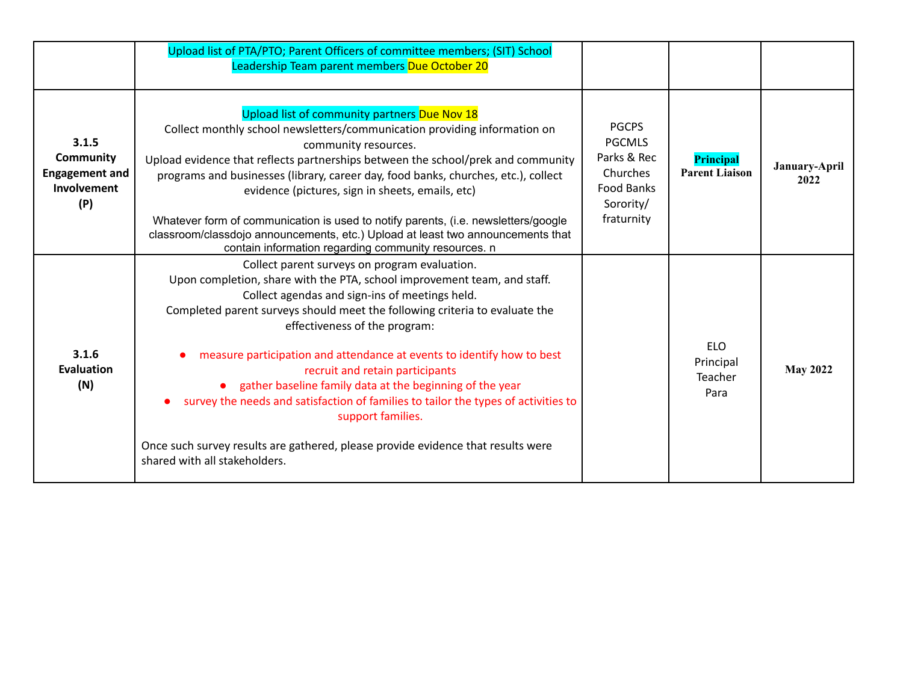|                                                                   | Upload list of PTA/PTO; Parent Officers of committee members; (SIT) School<br>Leadership Team parent members Due October 20                                                                                                                                                                                                                                                                                                                                                                                                                                                                                                                                                                            |                                                                                                   |                                            |                       |
|-------------------------------------------------------------------|--------------------------------------------------------------------------------------------------------------------------------------------------------------------------------------------------------------------------------------------------------------------------------------------------------------------------------------------------------------------------------------------------------------------------------------------------------------------------------------------------------------------------------------------------------------------------------------------------------------------------------------------------------------------------------------------------------|---------------------------------------------------------------------------------------------------|--------------------------------------------|-----------------------|
| 3.1.5<br>Community<br><b>Engagement and</b><br>Involvement<br>(P) | Upload list of community partners Due Nov 18<br>Collect monthly school newsletters/communication providing information on<br>community resources.<br>Upload evidence that reflects partnerships between the school/prek and community<br>programs and businesses (library, career day, food banks, churches, etc.), collect<br>evidence (pictures, sign in sheets, emails, etc)<br>Whatever form of communication is used to notify parents, (i.e. newsletters/google<br>classroom/classdojo announcements, etc.) Upload at least two announcements that<br>contain information regarding community resources. n                                                                                       | <b>PGCPS</b><br><b>PGCMLS</b><br>Parks & Rec<br>Churches<br>Food Banks<br>Sorority/<br>fraturnity | <b>Principal</b><br><b>Parent Liaison</b>  | January-April<br>2022 |
| 3.1.6<br>Evaluation<br>(N)                                        | Collect parent surveys on program evaluation.<br>Upon completion, share with the PTA, school improvement team, and staff.<br>Collect agendas and sign-ins of meetings held.<br>Completed parent surveys should meet the following criteria to evaluate the<br>effectiveness of the program:<br>measure participation and attendance at events to identify how to best<br>recruit and retain participants<br>• gather baseline family data at the beginning of the year<br>survey the needs and satisfaction of families to tailor the types of activities to<br>support families.<br>Once such survey results are gathered, please provide evidence that results were<br>shared with all stakeholders. |                                                                                                   | <b>ELO</b><br>Principal<br>Teacher<br>Para | <b>May 2022</b>       |